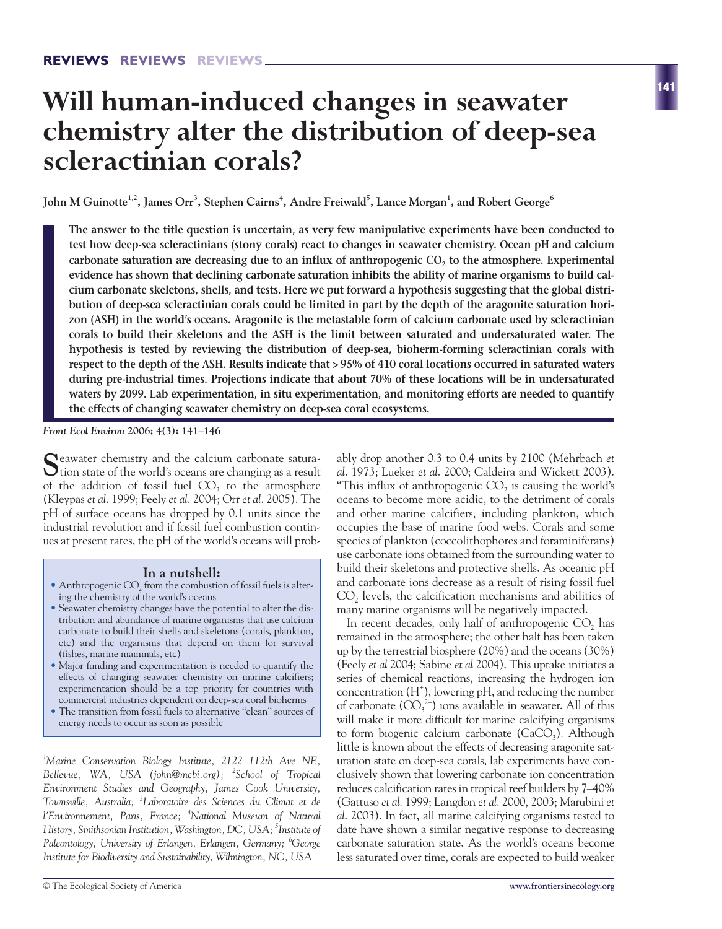# **Will human-induced changes in seawater chemistry alter the distribution of deep-sea scleractinian corals?**

John M Guinotte<sup>1,2</sup>, James Orr<sup>3</sup>, Stephen Cairns<sup>4</sup>, Andre Freiwald<sup>5</sup>, Lance Morgan<sup>1</sup>, and Robert George<sup>6</sup>

**The answer to the title question is uncertain, as very few manipulative experiments have been conducted to test how deep-sea scleractinians (stony corals) react to changes in seawater chemistry. Ocean pH and calcium** carbonate saturation are decreasing due to an influx of anthropogenic CO<sub>2</sub> to the atmosphere. Experimental **evidence has shown that declining carbonate saturation inhibits the ability of marine organisms to build calcium carbonate skeletons, shells, and tests. Here we put forward a hypothesis suggesting that the global distribution of deep-sea scleractinian corals could be limited in part by the depth of the aragonite saturation horizon (ASH) in the world's oceans. Aragonite is the metastable form of calcium carbonate used by scleractinian corals to build their skeletons and the ASH is the limit between saturated and undersaturated water. The hypothesis is tested by reviewing the distribution of deep-sea, bioherm-forming scleractinian corals with respect to the depth of the ASH. Results indicate that > 95% of 410 coral locations occurred in saturated waters during pre-industrial times. Projections indicate that about 70% of these locations will be in undersaturated waters by 2099. Lab experimentation, in situ experimentation, and monitoring efforts are needed to quantify the effects of changing seawater chemistry on deep-sea coral ecosystems.** 

*Front Ecol Environ* **2006; 4(3): 141–146**

Seawater chemistry and the calcium carbonate satura-<br>tion state of the world's oceans are changing as a result of the addition of fossil fuel  $CO<sub>2</sub>$  to the atmosphere (Kleypas *et al*. 1999; Feely *et al*. 2004; Orr *et al*. 2005). The pH of surface oceans has dropped by 0.1 units since the industrial revolution and if fossil fuel combustion continues at present rates, the pH of the world's oceans will prob-

#### **In a nutshell:**

- $\bullet$  Anthropogenic CO<sub>2</sub> from the combustion of fossil fuels is altering the chemistry of the world's oceans
- Seawater chemistry changes have the potential to alter the distribution and abundance of marine organisms that use calcium carbonate to build their shells and skeletons (corals, plankton, etc) and the organisms that depend on them for survival (fishes, marine mammals, etc)
- Major funding and experimentation is needed to quantify the effects of changing seawater chemistry on marine calcifiers; experimentation should be a top priority for countries with commercial industries dependent on deep-sea coral bioherms
- The transition from fossil fuels to alternative "clean" sources of energy needs to occur as soon as possible

*1 Marine Conservation Biology Institute, 2122 112th Ave NE, Bellevue, WA, USA (john@mcbi.org); <sup>2</sup> School of Tropical Environment Studies and Geography, James Cook University, Townsville, Australia; <sup>3</sup> Laboratoire des Sciences du Climat et de l'Environnement, Paris, France; <sup>4</sup> National Museum of Natural History, Smithsonian Institution, Washington, DC, USA; 5 Institute of Paleontology, University of Erlangen, Erlangen, Germany; <sup>6</sup> George Institute for Biodiversity and Sustainability, Wilmington, NC, USA* 

ably drop another 0.3 to 0.4 units by 2100 (Mehrbach *et al*. 1973; Lueker *et al*. 2000; Caldeira and Wickett 2003). "This influx of anthropogenic  $CO<sub>2</sub>$  is causing the world's oceans to become more acidic, to the detriment of corals and other marine calcifiers, including plankton, which occupies the base of marine food webs. Corals and some species of plankton (coccolithophores and foraminiferans) use carbonate ions obtained from the surrounding water to build their skeletons and protective shells. As oceanic pH and carbonate ions decrease as a result of rising fossil fuel  $CO<sub>2</sub>$  levels, the calcification mechanisms and abilities of many marine organisms will be negatively impacted.

In recent decades, only half of anthropogenic  $CO<sub>2</sub>$  has remained in the atmosphere; the other half has been taken up by the terrestrial biosphere (20%) and the oceans (30%) (Feely *et al* 2004; Sabine *et al* 2004). This uptake initiates a series of chemical reactions, increasing the hydrogen ion concentration (H+ ), lowering pH, and reducing the number of carbonate  $(CO_3^2)$  ions available in seawater. All of this will make it more difficult for marine calcifying organisms to form biogenic calcium carbonate  $(CaCO<sub>3</sub>)$ . Although little is known about the effects of decreasing aragonite saturation state on deep-sea corals, lab experiments have conclusively shown that lowering carbonate ion concentration reduces calcification rates in tropical reef builders by 7–40% (Gattuso *et al*. 1999; Langdon *et al*. 2000, 2003; Marubini *et al*. 2003). In fact, all marine calcifying organisms tested to date have shown a similar negative response to decreasing carbonate saturation state. As the world's oceans become less saturated over time, corals are expected to build weaker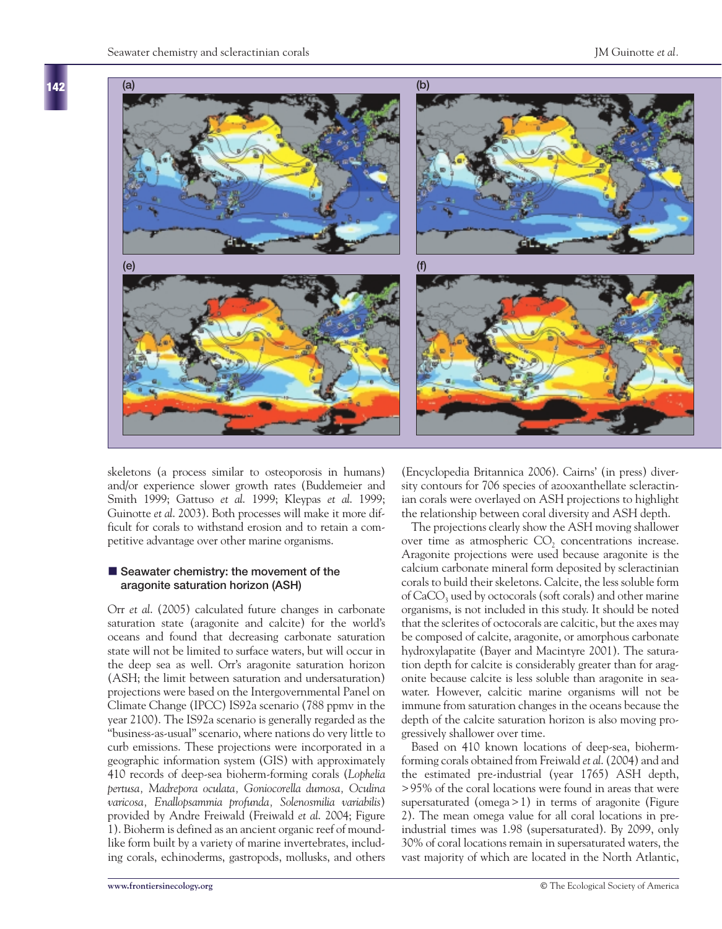**142**



skeletons (a process similar to osteoporosis in humans) and/or experience slower growth rates (Buddemeier and Smith 1999; Gattuso *et al*. 1999; Kleypas *et al*. 1999; Guinotte *et al*. 2003). Both processes will make it more difficult for corals to withstand erosion and to retain a competitive advantage over other marine organisms.

#### **E** Seawater chemistry: the movement of the **aragonite saturation horizon (ASH)**

Orr *et al*. (2005) calculated future changes in carbonate saturation state (aragonite and calcite) for the world's oceans and found that decreasing carbonate saturation state will not be limited to surface waters, but will occur in the deep sea as well. Orr's aragonite saturation horizon (ASH; the limit between saturation and undersaturation) projections were based on the Intergovernmental Panel on Climate Change (IPCC) IS92a scenario (788 ppmv in the year 2100). The IS92a scenario is generally regarded as the "business-as-usual" scenario, where nations do very little to curb emissions. These projections were incorporated in a geographic information system (GIS) with approximately 410 records of deep-sea bioherm-forming corals (*Lophelia pertusa, Madrepora oculata, Goniocorella dumosa, Oculina varicosa, Enallopsammia profunda, Solenosmilia variabilis*) provided by Andre Freiwald (Freiwald *et al*. 2004; Figure 1). Bioherm is defined as an ancient organic reef of moundlike form built by a variety of marine invertebrates, including corals, echinoderms, gastropods, mollusks, and others

(Encyclopedia Britannica 2006). Cairns' (in press) diversity contours for 706 species of azooxanthellate scleractinian corals were overlayed on ASH projections to highlight the relationship between coral diversity and ASH depth.

The projections clearly show the ASH moving shallower over time as atmospheric  $CO<sub>2</sub>$  concentrations increase. Aragonite projections were used because aragonite is the calcium carbonate mineral form deposited by scleractinian corals to build their skeletons. Calcite, the less soluble form of CaCO<sub>3</sub> used by octocorals (soft corals) and other marine organisms, is not included in this study. It should be noted that the sclerites of octocorals are calcitic, but the axes may be composed of calcite, aragonite, or amorphous carbonate hydroxylapatite (Bayer and Macintyre 2001). The saturation depth for calcite is considerably greater than for aragonite because calcite is less soluble than aragonite in seawater. However, calcitic marine organisms will not be immune from saturation changes in the oceans because the depth of the calcite saturation horizon is also moving progressively shallower over time.

Based on 410 known locations of deep-sea, biohermforming corals obtained from Freiwald *et al*. (2004) and and the estimated pre-industrial (year 1765) ASH depth, > 95% of the coral locations were found in areas that were supersaturated (omega > 1) in terms of aragonite (Figure 2). The mean omega value for all coral locations in preindustrial times was 1.98 (supersaturated). By 2099, only 30% of coral locations remain in supersaturated waters, the vast majority of which are located in the North Atlantic,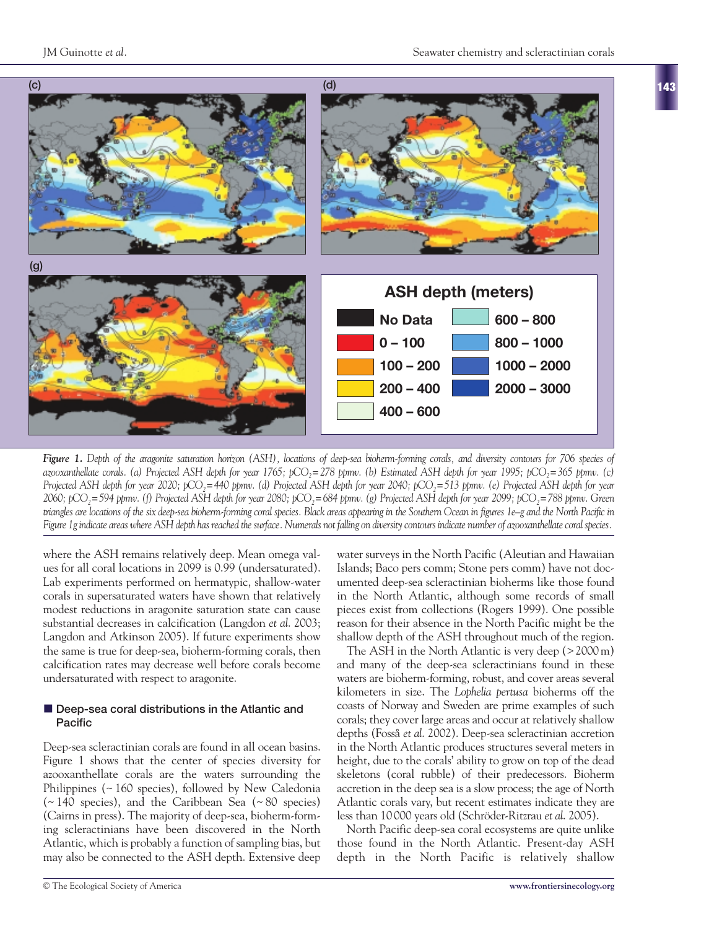



*Figure 1. Depth of the aragonite saturation horizon (ASH), locations of deep-sea bioherm-forming corals, and diversity contours for 706 species of azooxanthellate corals. (a) Projected ASH depth for year 1765; pCO2=278 ppmv. (b) Estimated ASH depth for year 1995; pCO2=365 ppmv. (c) Projected ASH depth for year 2020; pCO<sub>2</sub>=440 ppmv. (d) Projected ASH depth for year 2040; pCO<sub>2</sub>=513 ppmv. (e) Projected ASH depth for year 2060; pCO2=594 ppmv. (f) Projected ASH depth for year 2080; pCO2=684 ppmv. (g) Projected ASH depth for year 2099; pCO2=788 ppmv. Green triangles are locations of the six deep-sea bioherm-forming coral species. Black areas appearing in the Southern Ocean in figures 1e–g and the North Pacific in Figure 1g indicate areas where ASH depth has reached the surface. Numerals not falling on diversity contours indicate number of azooxanthellate coral species.*

where the ASH remains relatively deep. Mean omega values for all coral locations in 2099 is 0.99 (undersaturated). Lab experiments performed on hermatypic, shallow-water corals in supersaturated waters have shown that relatively modest reductions in aragonite saturation state can cause substantial decreases in calcification (Langdon *et al*. 2003; Langdon and Atkinson 2005). If future experiments show the same is true for deep-sea, bioherm-forming corals, then calcification rates may decrease well before corals become undersaturated with respect to aragonite.

#### $\blacksquare$  Deep-sea coral distributions in the Atlantic and **Pacific**

Deep-sea scleractinian corals are found in all ocean basins. Figure 1 shows that the center of species diversity for azooxanthellate corals are the waters surrounding the Philippines (~ 160 species), followed by New Caledonia (~ 140 species), and the Caribbean Sea (~ 80 species) (Cairns in press). The majority of deep-sea, bioherm-forming scleractinians have been discovered in the North Atlantic, which is probably a function of sampling bias, but may also be connected to the ASH depth. Extensive deep water surveys in the North Pacific (Aleutian and Hawaiian Islands; Baco pers comm; Stone pers comm) have not documented deep-sea scleractinian bioherms like those found in the North Atlantic, although some records of small pieces exist from collections (Rogers 1999). One possible reason for their absence in the North Pacific might be the shallow depth of the ASH throughout much of the region.

The ASH in the North Atlantic is very deep (> 2000 m) and many of the deep-sea scleractinians found in these waters are bioherm-forming, robust, and cover areas several kilometers in size. The *Lophelia pertusa* bioherms off the coasts of Norway and Sweden are prime examples of such corals; they cover large areas and occur at relatively shallow depths (Fosså *et al*. 2002). Deep-sea scleractinian accretion in the North Atlantic produces structures several meters in height, due to the corals' ability to grow on top of the dead skeletons (coral rubble) of their predecessors. Bioherm accretion in the deep sea is a slow process; the age of North Atlantic corals vary, but recent estimates indicate they are less than 10 000 years old (Schröder-Ritzrau *et al*. 2005).

North Pacific deep-sea coral ecosystems are quite unlike those found in the North Atlantic. Present-day ASH depth in the North Pacific is relatively shallow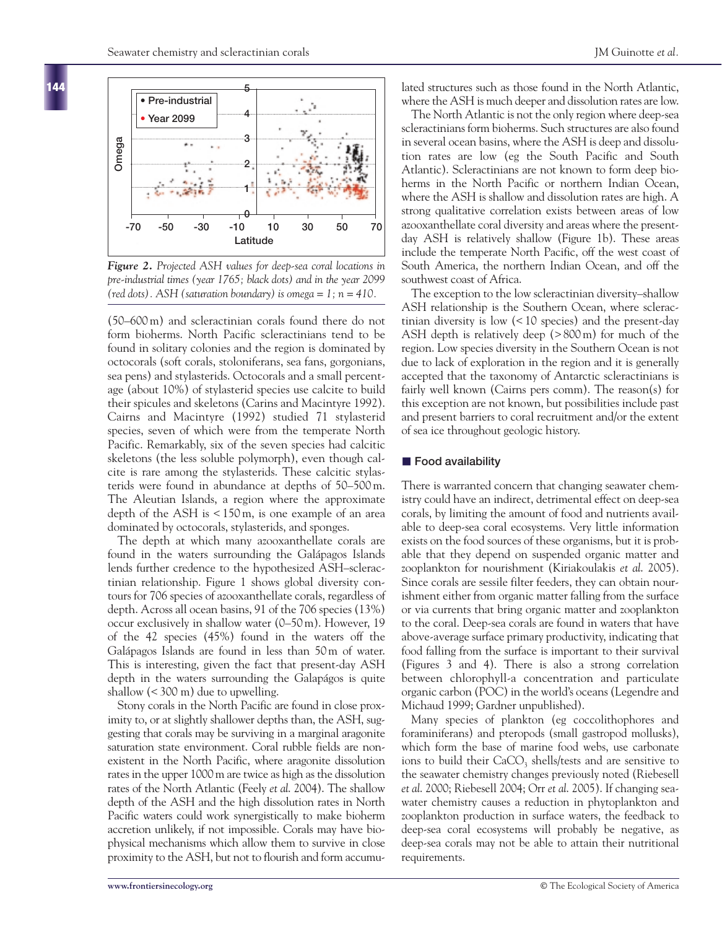

*Figure 2. Projected ASH values for deep-sea coral locations in pre-industrial times (year 1765; black dots) and in the year 2099 (red dots). ASH (saturation boundary) is omega = 1; n = 410.*

(50–600 m) and scleractinian corals found there do not form bioherms. North Pacific scleractinians tend to be found in solitary colonies and the region is dominated by octocorals (soft corals, stoloniferans, sea fans, gorgonians, sea pens) and stylasterids. Octocorals and a small percentage (about 10%) of stylasterid species use calcite to build their spicules and skeletons (Carins and Macintyre 1992). Cairns and Macintyre (1992) studied 71 stylasterid species, seven of which were from the temperate North Pacific. Remarkably, six of the seven species had calcitic skeletons (the less soluble polymorph), even though calcite is rare among the stylasterids. These calcitic stylasterids were found in abundance at depths of 50–500 m. The Aleutian Islands, a region where the approximate depth of the ASH is < 150 m, is one example of an area dominated by octocorals, stylasterids, and sponges.

The depth at which many azooxanthellate corals are found in the waters surrounding the Galápagos Islands lends further credence to the hypothesized ASH–scleractinian relationship. Figure 1 shows global diversity contours for 706 species of azooxanthellate corals, regardless of depth. Across all ocean basins, 91 of the 706 species (13%) occur exclusively in shallow water (0–50 m). However, 19 of the 42 species (45%) found in the waters off the Galápagos Islands are found in less than 50 m of water. This is interesting, given the fact that present-day ASH depth in the waters surrounding the Galapágos is quite shallow (< 300 m) due to upwelling.

Stony corals in the North Pacific are found in close proximity to, or at slightly shallower depths than, the ASH, suggesting that corals may be surviving in a marginal aragonite saturation state environment. Coral rubble fields are nonexistent in the North Pacific, where aragonite dissolution rates in the upper 1000 m are twice as high as the dissolution rates of the North Atlantic (Feely *et al*. 2004). The shallow depth of the ASH and the high dissolution rates in North Pacific waters could work synergistically to make bioherm accretion unlikely, if not impossible. Corals may have biophysical mechanisms which allow them to survive in close proximity to the ASH, but not to flourish and form accumulated structures such as those found in the North Atlantic, where the ASH is much deeper and dissolution rates are low.

The North Atlantic is not the only region where deep-sea scleractinians form bioherms. Such structures are also found in several ocean basins, where the ASH is deep and dissolution rates are low (eg the South Pacific and South Atlantic). Scleractinians are not known to form deep bioherms in the North Pacific or northern Indian Ocean, where the ASH is shallow and dissolution rates are high. A strong qualitative correlation exists between areas of low azooxanthellate coral diversity and areas where the presentday ASH is relatively shallow (Figure 1b). These areas include the temperate North Pacific, off the west coast of South America, the northern Indian Ocean, and off the southwest coast of Africa.

The exception to the low scleractinian diversity–shallow ASH relationship is the Southern Ocean, where scleractinian diversity is low (< 10 species) and the present-day ASH depth is relatively deep (> 800 m) for much of the region. Low species diversity in the Southern Ocean is not due to lack of exploration in the region and it is generally accepted that the taxonomy of Antarctic scleractinians is fairly well known (Cairns pers comm). The reason(s) for this exception are not known, but possibilities include past and present barriers to coral recruitment and/or the extent of sea ice throughout geologic history.

# - **Food availability**

There is warranted concern that changing seawater chemistry could have an indirect, detrimental effect on deep-sea corals, by limiting the amount of food and nutrients available to deep-sea coral ecosystems. Very little information exists on the food sources of these organisms, but it is probable that they depend on suspended organic matter and zooplankton for nourishment (Kiriakoulakis *et al*. 2005). Since corals are sessile filter feeders, they can obtain nourishment either from organic matter falling from the surface or via currents that bring organic matter and zooplankton to the coral. Deep-sea corals are found in waters that have above-average surface primary productivity, indicating that food falling from the surface is important to their survival (Figures 3 and 4). There is also a strong correlation between chlorophyll-a concentration and particulate organic carbon (POC) in the world's oceans (Legendre and Michaud 1999; Gardner unpublished).

Many species of plankton (eg coccolithophores and foraminiferans) and pteropods (small gastropod mollusks), which form the base of marine food webs, use carbonate ions to build their  $CaCO<sub>3</sub>$  shells/tests and are sensitive to the seawater chemistry changes previously noted (Riebesell *et al*. 2000; Riebesell 2004; Orr *et al*. 2005). If changing seawater chemistry causes a reduction in phytoplankton and zooplankton production in surface waters, the feedback to deep-sea coral ecosystems will probably be negative, as deep-sea corals may not be able to attain their nutritional requirements.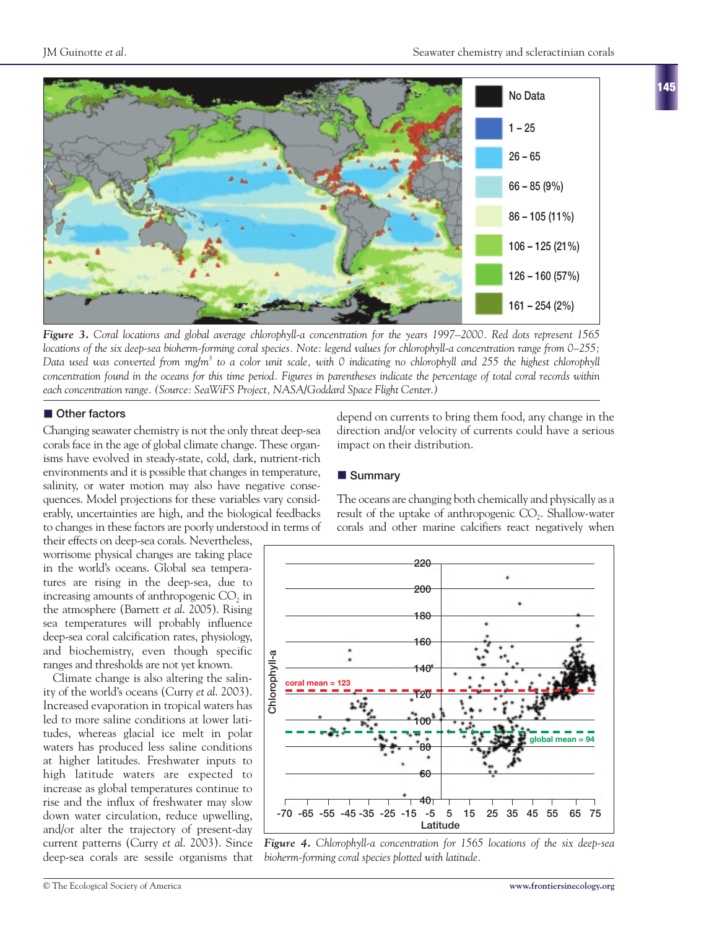

*Figure 3. Coral locations and global average chlorophyll-a concentration for the years 1997–2000. Red dots represent 1565 locations of the six deep-sea bioherm-forming coral species. Note: legend values for chlorophyll-a concentration range from 0–255; Data used was converted from mg/m3 to a color unit scale, with 0 indicating no chlorophyll and 255 the highest chlorophyll concentration found in the oceans for this time period. Figures in parentheses indicate the percentage of total coral records within each concentration range. (Source: SeaWiFS Project, NASA/Goddard Space Flight Center.)*

# $\blacksquare$  Other factors

Changing seawater chemistry is not the only threat deep-sea corals face in the age of global climate change. These organisms have evolved in steady-state, cold, dark, nutrient-rich environments and it is possible that changes in temperature, salinity, or water motion may also have negative consequences. Model projections for these variables vary considerably, uncertainties are high, and the biological feedbacks to changes in these factors are poorly understood in terms of

their effects on deep-sea corals. Nevertheless, worrisome physical changes are taking place in the world's oceans. Global sea temperatures are rising in the deep-sea, due to increasing amounts of anthropogenic CO<sub>2</sub> in the atmosphere (Barnett *et al*. 2005). Rising sea temperatures will probably influence deep-sea coral calcification rates, physiology, and biochemistry, even though specific ranges and thresholds are not yet known.

Climate change is also altering the salinity of the world's oceans (Curry *et al*. 2003). Increased evaporation in tropical waters has led to more saline conditions at lower latitudes, whereas glacial ice melt in polar waters has produced less saline conditions at higher latitudes. Freshwater inputs to high latitude waters are expected to increase as global temperatures continue to rise and the influx of freshwater may slow down water circulation, reduce upwelling, and/or alter the trajectory of present-day current patterns (Curry *et al*. 2003). Since deep-sea corals are sessile organisms that depend on currents to bring them food, any change in the direction and/or velocity of currents could have a serious impact on their distribution.

# - **Summary**

The oceans are changing both chemically and physically as a result of the uptake of anthropogenic  $CO<sub>2</sub>$ . Shallow-water corals and other marine calcifiers react negatively when



*Figure 4. Chlorophyll-a concentration for 1565 locations of the six deep-sea bioherm-forming coral species plotted with latitude.*